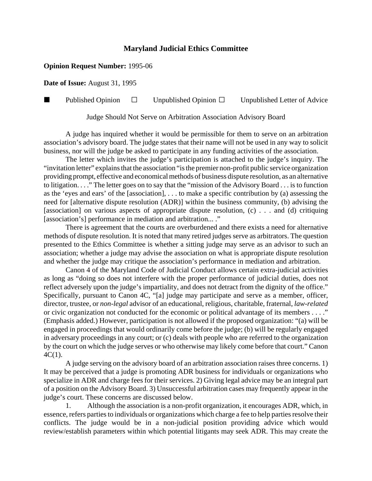## **Maryland Judicial Ethics Committee**

## **Opinion Request Number:** 1995-06

**Date of Issue:** August 31, 1995

**Published Opinion**  $\Box$  Unpublished Opinion  $\Box$  Unpublished Letter of Advice

Judge Should Not Serve on Arbitration Association Advisory Board

A judge has inquired whether it would be permissible for them to serve on an arbitration association's advisory board. The judge states that their name will not be used in any way to solicit business, nor will the judge be asked to participate in any funding activities of the association.

The letter which invites the judge's participation is attached to the judge's inquiry. The "invitation letter" explains that the association "is the premier non-profit public service organization providing prompt, effective and economical methods of business dispute resolution, as an alternative to litigation. . . ." The letter goes on to say that the "mission of the Advisory Board . . . is to function as the 'eyes and ears' of the [association], . . . to make a specific contribution by (a) assessing the need for [alternative dispute resolution (ADR)] within the business community, (b) advising the [association] on various aspects of appropriate dispute resolution, (c) . . . and (d) critiquing [association's] performance in mediation and arbitration... ."

There is agreement that the courts are overburdened and there exists a need for alternative methods of dispute resolution. It is noted that many retired judges serve as arbitrators. The question presented to the Ethics Committee is whether a sitting judge may serve as an advisor to such an association; whether a judge may advise the association on what is appropriate dispute resolution and whether the judge may critique the association's performance in mediation and arbitration.

Canon 4 of the Maryland Code of Judicial Conduct allows certain extra-judicial activities as long as "doing so does not interfere with the proper performance of judicial duties, does not reflect adversely upon the judge's impartiality, and does not detract from the dignity of the office." Specifically, pursuant to Canon 4C, "[a] judge may participate and serve as a member, officer, director, trustee, or *non-legal* advisor of an educational, religious, charitable, fraternal, *law-related* or civic organization not conducted for the economic or political advantage of its members . . . ." (Emphasis added.) However, participation is not allowed if the proposed organization: "(a) will be engaged in proceedings that would ordinarily come before the judge; (b) will be regularly engaged in adversary proceedings in any court; or (c) deals with people who are referred to the organization by the court on which the judge serves or who otherwise may likely come before that court." Canon  $4C(1)$ .

A judge serving on the advisory board of an arbitration association raises three concerns. 1) It may be perceived that a judge is promoting ADR business for individuals or organizations who specialize in ADR and charge fees for their services. 2) Giving legal advice may be an integral part of a position on the Advisory Board. 3) Unsuccessful arbitration cases may frequently appear in the judge's court. These concerns are discussed below.

Although the association is a non-profit organization, it encourages ADR, which, in essence, refers parties to individuals or organizations which charge a fee to help parties resolve their conflicts. The judge would be in a non-judicial position providing advice which would review/establish parameters within which potential litigants may seek ADR. This may create the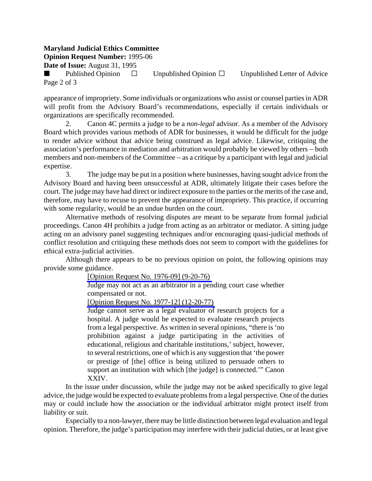## **Maryland Judicial Ethics Committee**

**Opinion Request Number:** 1995-06

**Date of Issue:** August 31, 1995

Published Opinion  $\Box$  Unpublished Opinion  $\Box$  Unpublished Letter of Advice Page 2 of 3

appearance of impropriety. Some individuals or organizations who assist or counsel parties in ADR will profit from the Advisory Board's recommendations, especially if certain individuals or organizations are specifically recommended.

2. Canon 4C permits a judge to be a *non-legal* advisor. As a member of the Advisory Board which provides various methods of ADR for businesses, it would be difficult for the judge to render advice without that advice being construed as legal advice. Likewise, critiquing the association's performance in mediation and arbitration would probably be viewed by others – both members and non-members of the Committee  $-$  as a critique by a participant with legal and judicial expertise.

3. The judge may be put in a position where businesses, having sought advice from the Advisory Board and having been unsuccessful at ADR, ultimately litigate their cases before the court. The judge may have had direct or indirect exposure to the parties or the merits of the case and, therefore, may have to recuse to prevent the appearance of impropriety. This practice, if occurring with some regularity, would be an undue burden on the court.

Alternative methods of resolving disputes are meant to be separate from formal judicial proceedings. Canon 4H prohibits a judge from acting as an arbitrator or mediator. A sitting judge acting on an advisory panel suggesting techniques and/or encouraging quasi-judicial methods of conflict resolution and critiquing these methods does not seem to comport with the guidelines for ethical extra-judicial activities.

Although there appears to be no previous opinion on point, the following opinions may provide some guidance.

[\[Opinion Request No. 1976-09\] \(9-20-76\)](http://www.mdcourts.gov/ethics/pdfs/1976-09.pdf)

Judge may not act as an arbitrator in a pending court case whether compensated or not.

[\[Opinion Request No. 1977-12\] \(12-20-77\)](http://www.mdcourts.gov/ethics/pdfs/1977-12.pdf)

Judge cannot serve as a legal evaluator of research projects for a hospital. A judge would be expected to evaluate research projects from a legal perspective. As written in several opinions, "there is 'no prohibition against a judge participating in the activities of educational, religious and charitable institutions,' subject, however, to several restrictions, one of which is any suggestion that 'the power or prestige of [the] office is being utilized to persuade others to support an institution with which [the judge] is connected.'" Canon XXIV.

In the issue under discussion, while the judge may not be asked specifically to give legal advice, the judge would be expected to evaluate problems from a legal perspective. One of the duties may or could include how the association or the individual arbitrator might protect itself from liability or suit.

Especially to a non-lawyer, there may be little distinction between legal evaluation and legal opinion. Therefore, the judge's participation may interfere with their judicial duties, or at least give